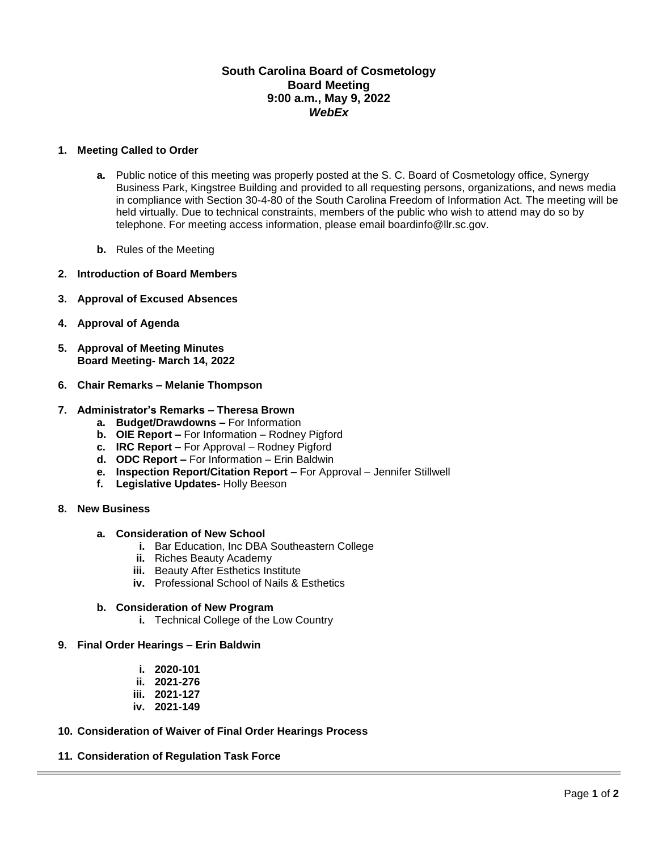## **South Carolina Board of Cosmetology Board Meeting 9:00 a.m., May 9, 2022** *WebEx*

## **1. Meeting Called to Order**

- **a.** Public notice of this meeting was properly posted at the S. C. Board of Cosmetology office, Synergy Business Park, Kingstree Building and provided to all requesting persons, organizations, and news media in compliance with Section 30-4-80 of the South Carolina Freedom of Information Act. The meeting will be held virtually. Due to technical constraints, members of the public who wish to attend may do so by telephone. For meeting access information, please email boardinfo@llr.sc.gov.
- **b.** Rules of the Meeting
- **2. Introduction of Board Members**
- **3. Approval of Excused Absences**
- **4. Approval of Agenda**
- **5. Approval of Meeting Minutes Board Meeting- March 14, 2022**
- **6. Chair Remarks – Melanie Thompson**

## **7. Administrator's Remarks – Theresa Brown**

- **a. Budget/Drawdowns –** For Information
- **b. OIE Report –** For Information Rodney Pigford
- **c. IRC Report –** For Approval Rodney Pigford
- **d. ODC Report –** For Information Erin Baldwin
- **e. Inspection Report/Citation Report –** For Approval Jennifer Stillwell
- **f. Legislative Updates-** Holly Beeson
- **8. New Business**

#### **a. Consideration of New School**

- **i.** Bar Education, Inc DBA Southeastern College
- **ii.** Riches Beauty Academy
- **iii.** Beauty After Esthetics Institute
- **iv.** Professional School of Nails & Esthetics

## **b. Consideration of New Program**

- **i.** Technical College of the Low Country
- **9. Final Order Hearings – Erin Baldwin**
	- **i. 2020-101**
	- **ii. 2021-276**
	- **iii. 2021-127**
	- **iv. 2021-149**
- **10. Consideration of Waiver of Final Order Hearings Process**

## **11. Consideration of Regulation Task Force**